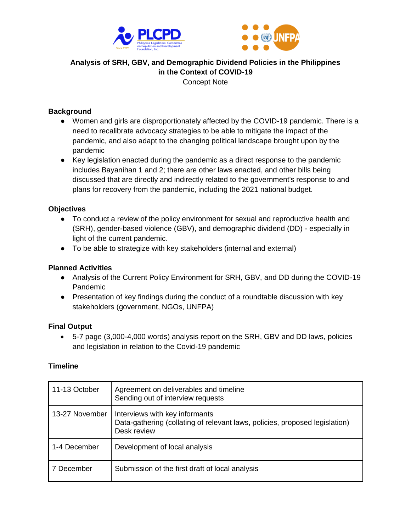



# **Analysis of SRH, GBV, and Demographic Dividend Policies in the Philippines in the Context of COVID-19**

Concept Note

## **Background**

- Women and girls are disproportionately affected by the COVID-19 pandemic. There is a need to recalibrate advocacy strategies to be able to mitigate the impact of the pandemic, and also adapt to the changing political landscape brought upon by the pandemic
- Key legislation enacted during the pandemic as a direct response to the pandemic includes Bayanihan 1 and 2; there are other laws enacted, and other bills being discussed that are directly and indirectly related to the government's response to and plans for recovery from the pandemic, including the 2021 national budget.

## **Objectives**

- To conduct a review of the policy environment for sexual and reproductive health and (SRH), gender-based violence (GBV), and demographic dividend (DD) - especially in light of the current pandemic.
- To be able to strategize with key stakeholders (internal and external)

## **Planned Activities**

- Analysis of the Current Policy Environment for SRH, GBV, and DD during the COVID-19 Pandemic
- Presentation of key findings during the conduct of a roundtable discussion with key stakeholders (government, NGOs, UNFPA)

## **Final Output**

• 5-7 page (3,000-4,000 words) analysis report on the SRH, GBV and DD laws, policies and legislation in relation to the Covid-19 pandemic

## **Timeline**

| 11-13 October  | Agreement on deliverables and timeline<br>Sending out of interview requests                                                  |
|----------------|------------------------------------------------------------------------------------------------------------------------------|
| 13-27 November | Interviews with key informants<br>Data-gathering (collating of relevant laws, policies, proposed legislation)<br>Desk review |
| 1-4 December   | Development of local analysis                                                                                                |
| 7 December     | Submission of the first draft of local analysis                                                                              |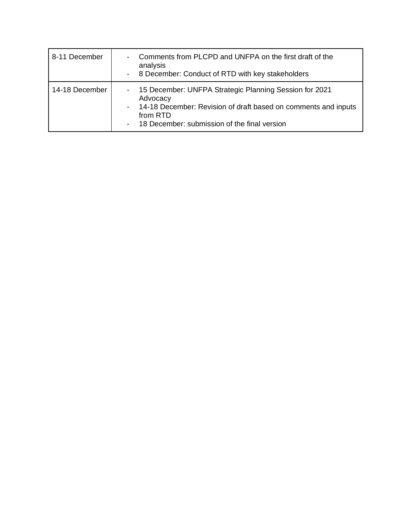| 8-11 December  | Comments from PLCPD and UNFPA on the first draft of the<br>analysis<br>- 8 December: Conduct of RTD with key stakeholders                                                                              |
|----------------|--------------------------------------------------------------------------------------------------------------------------------------------------------------------------------------------------------|
| 14-18 December | - 15 December: UNFPA Strategic Planning Session for 2021<br>Advocacy<br>- 14-18 December: Revision of draft based on comments and inputs<br>from RTD<br>- 18 December: submission of the final version |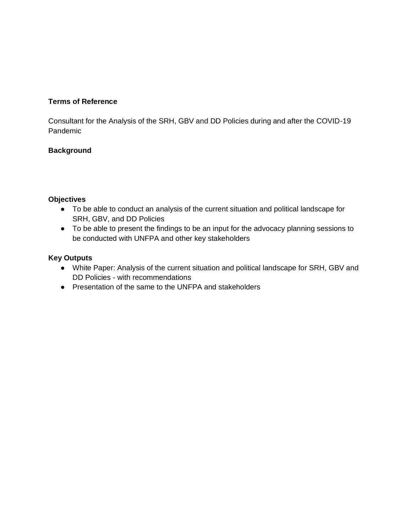## **Terms of Reference**

Consultant for the Analysis of the SRH, GBV and DD Policies during and after the COVID-19 Pandemic

## **Background**

## **Objectives**

- To be able to conduct an analysis of the current situation and political landscape for SRH, GBV, and DD Policies
- To be able to present the findings to be an input for the advocacy planning sessions to be conducted with UNFPA and other key stakeholders

## **Key Outputs**

- White Paper: Analysis of the current situation and political landscape for SRH, GBV and DD Policies - with recommendations
- Presentation of the same to the UNFPA and stakeholders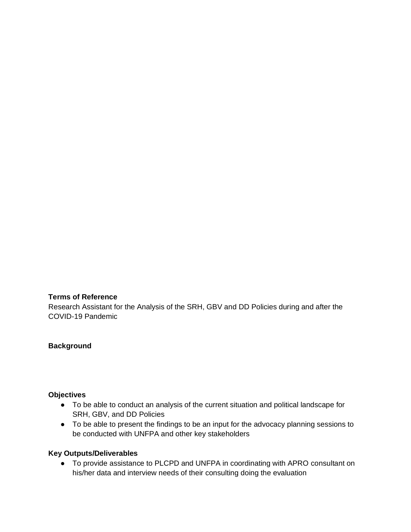## **Terms of Reference**

Research Assistant for the Analysis of the SRH, GBV and DD Policies during and after the COVID-19 Pandemic

## **Background**

## **Objectives**

- To be able to conduct an analysis of the current situation and political landscape for SRH, GBV, and DD Policies
- To be able to present the findings to be an input for the advocacy planning sessions to be conducted with UNFPA and other key stakeholders

## **Key Outputs/Deliverables**

● To provide assistance to PLCPD and UNFPA in coordinating with APRO consultant on his/her data and interview needs of their consulting doing the evaluation